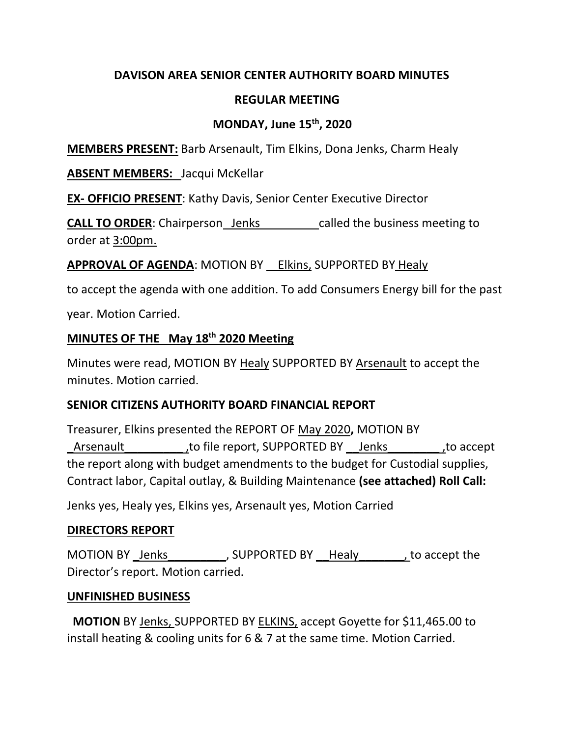# **DAVISON AREA SENIOR CENTER AUTHORITY BOARD MINUTES**

## **REGULAR MEETING**

## **MONDAY, June 15th, 2020**

**MEMBERS PRESENT:** Barb Arsenault, Tim Elkins, Dona Jenks, Charm Healy

### **ABSENT MEMBERS:** Jacqui McKellar

**EX- OFFICIO PRESENT**: Kathy Davis, Senior Center Executive Director

**CALL TO ORDER:** Chairperson Jenks called the business meeting to order at 3:00pm.

### **APPROVAL OF AGENDA:** MOTION BY Elkins, SUPPORTED BY Healy

to accept the agenda with one addition. To add Consumers Energy bill for the past

year. Motion Carried.

### **MINUTES OF THE May 18th 2020 Meeting**

Minutes were read, MOTION BY Healy SUPPORTED BY Arsenault to accept the minutes. Motion carried.

### **SENIOR CITIZENS AUTHORITY BOARD FINANCIAL REPORT**

Treasurer, Elkins presented the REPORT OF May 2020**,** MOTION BY Arsenault Theort, SUPPORTED BY Jenks to accept the report along with budget amendments to the budget for Custodial supplies, Contract labor, Capital outlay, & Building Maintenance **(see attached) Roll Call:**

Jenks yes, Healy yes, Elkins yes, Arsenault yes, Motion Carried

### **DIRECTORS REPORT**

MOTION BY Jenks , SUPPORTED BY Healy , to accept the Director's report. Motion carried.

### **UNFINISHED BUSINESS**

 **MOTION** BY Jenks, SUPPORTED BY ELKINS, accept Goyette for \$11,465.00 to install heating & cooling units for 6 & 7 at the same time. Motion Carried.